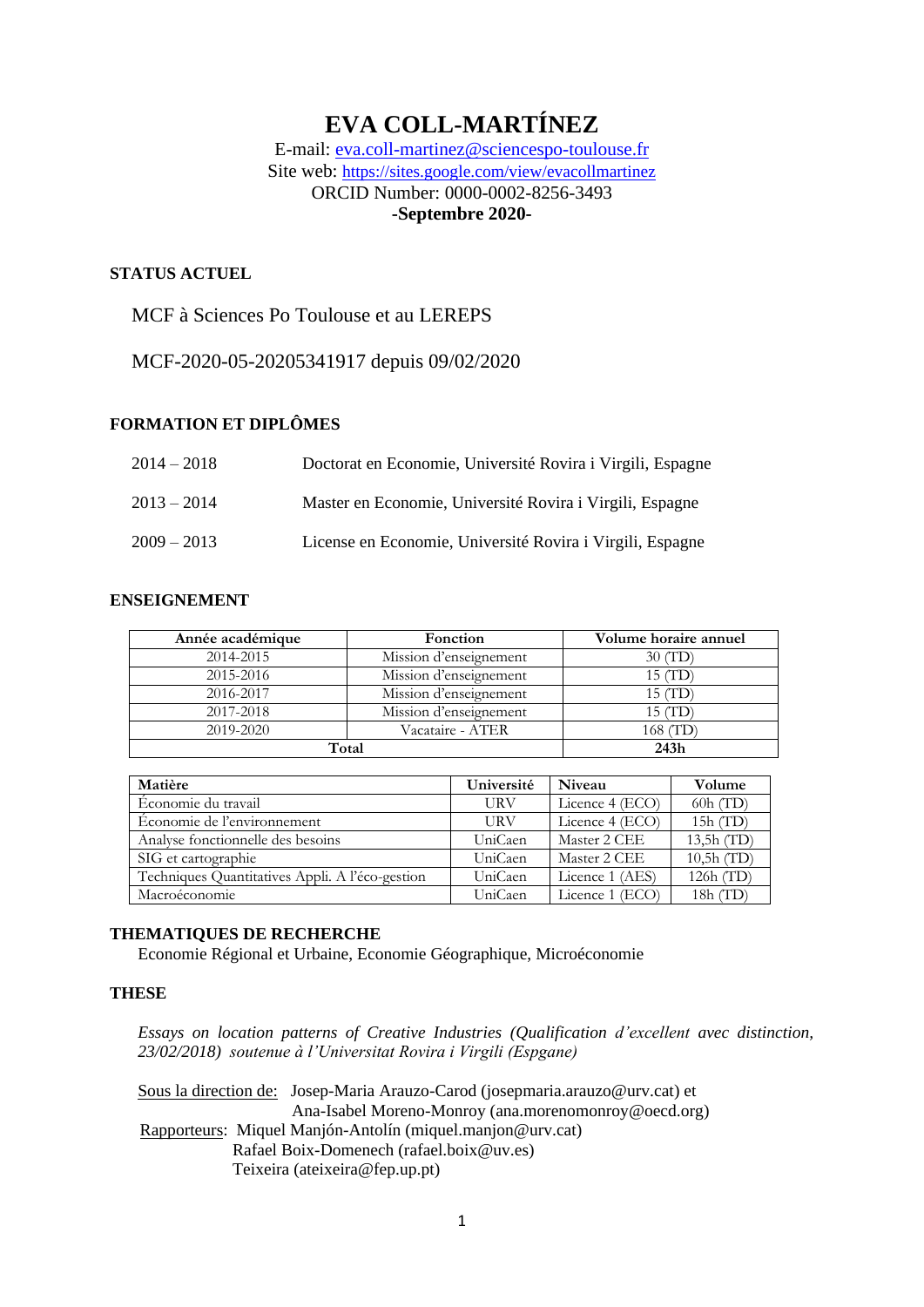# **EVA COLL-MARTÍNEZ**

E-mail: [eva.coll-martinez@sciencespo-toulouse.fr](mailto:eva.coll-martinez@sciencespo-toulouse.fr) Site web: <https://sites.google.com/view/evacollmartinez> ORCID Number: 0000-0002-8256-3493 **-Septembre 2020-**

### **STATUS ACTUEL**

MCF à Sciences Po Toulouse et au LEREPS

MCF-2020-05-20205341917 depuis 09/02/2020

# **FORMATION ET DIPLÔMES**

| $2014 - 2018$ | Doctorat en Economie, Université Rovira i Virgili, Espagne |
|---------------|------------------------------------------------------------|
| $2013 - 2014$ | Master en Economie, Université Rovira i Virgili, Espagne   |
| $2009 - 2013$ | License en Economie, Université Rovira i Virgili, Espagne  |

#### **ENSEIGNEMENT**

| Année académique | Fonction               | Volume horaire annuel |
|------------------|------------------------|-----------------------|
| 2014-2015        | Mission d'enseignement | 30(TD)                |
| 2015-2016        | Mission d'enseignement | 15 (TD)               |
| 2016-2017        | Mission d'enseignement | 15 (TD)               |
| 2017-2018        | Mission d'enseignement | 15 <i>(</i> TD)       |
| 2019-2020        | Vacataire - ATER       | 168 <i>(</i> TD)      |
| Total            | 243h                   |                       |

| Matière                                         | Université  | Niveau          | Volume       |
|-------------------------------------------------|-------------|-----------------|--------------|
| Économie du travail                             | URV         | Licence 4 (ECO) | 60h(TD)      |
| Économie de l'environnement                     | <b>TIRV</b> | Licence 4 (ECO) | 15h(TD)      |
| Analyse fonctionnelle des besoins               | UniCaen     | Master 2 CEE    | $13.5h$ (TD) |
| SIG et cartographie                             | UniCaen     | Master 2 CEE    | $10,5h$ (TD) |
| Techniques Quantitatives Appli. A l'éco-gestion | UniCaen     | Licence 1 (AES) | $126h$ (TD)  |
| Macroéconomie                                   | UniCaen     | Licence 1 (ECO) | 18h(TD)      |

#### **THEMATIQUES DE RECHERCHE**

Economie Régional et Urbaine, Economie Géographique, Microéconomie

#### **THESE**

*Essays on location patterns of Creative Industries (Qualification d'excellent avec distinction, 23/02/2018) soutenue à l'Universitat Rovira i Virgili (Espgane)*

Sous la direction de: Josep-Maria Arauzo-Carod (josepmaria.arauzo@urv.cat) et Ana-Isabel Moreno-Monroy (ana.morenomonroy@oecd.org) Rapporteurs: Miquel Manjón-Antolín (miquel.manjon@urv.cat) Rafael Boix-Domenech (rafael.boix@uv.es) Teixeira (ateixeira@fep.up.pt)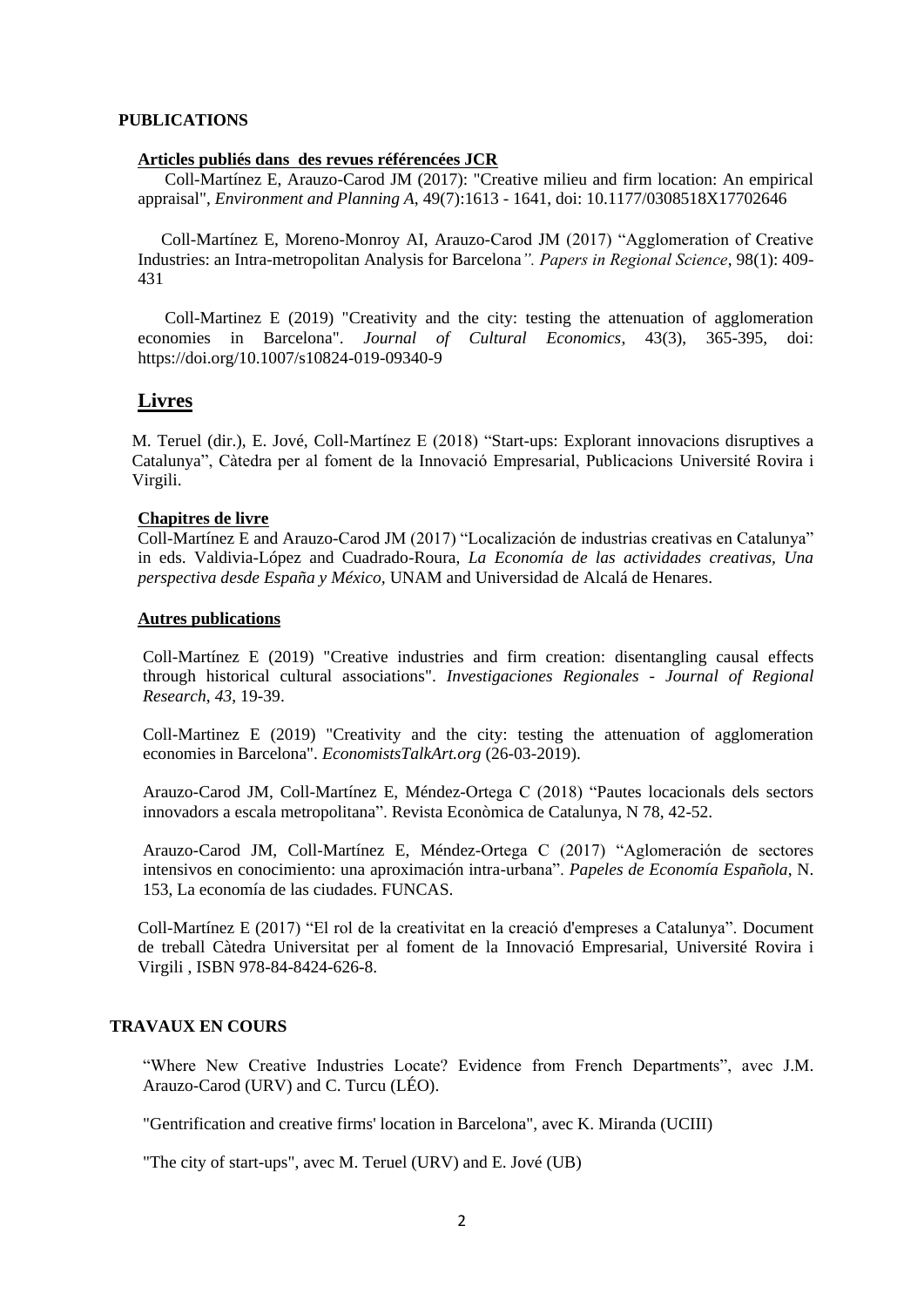#### **PUBLICATIONS**

#### **Articles publiés dans des revues référencées JCR**

Coll-Martínez E, Arauzo-Carod JM (2017): "Creative milieu and firm location: An empirical appraisal", *Environment and Planning A*, 49(7):1613 - 1641, doi: 10.1177/0308518X17702646

 Coll-Martínez E, Moreno-Monroy AI, Arauzo-Carod JM (2017) "Agglomeration of Creative Industries: an Intra-metropolitan Analysis for Barcelona*". Papers in Regional Science*, 98(1): 409- 431

Coll-Martinez E (2019) "Creativity and the city: testing the attenuation of agglomeration economies in Barcelona". *Journal of Cultural Economics*, 43(3), 365-395, doi: https://doi.org/10.1007/s10824-019-09340-9

#### **Livres**

M. Teruel (dir.), E. Jové, Coll-Martínez E (2018) ["Start-ups: Explorant innovacions disruptives a](http://www.urv.cat/media/upload/arxius/catedra-innovacio-empresarial/2018%20Start-ups.pdf)  [Catalunya"](http://www.urv.cat/media/upload/arxius/catedra-innovacio-empresarial/2018%20Start-ups.pdf), Càtedra per al foment de la Innovació Empresarial, Publicacions Université Rovira i Virgili.

#### **Chapitres de livre**

Coll-Martínez E and Arauzo-Carod JM (2017) "Localización de industrias creativas en Catalunya" in eds. Valdivia-López and Cuadrado-Roura, *La Economía de las actividades creativas, Una perspectiva desde España y México,* UNAM and Universidad de Alcalá de Henares.

#### **Autres publications**

Coll-Martínez E (2019) ["Creative industries and firm creation: disentangling causal effects](https://investigacionesregionales.org/en/article/creative-industries-and-firm-creation-disentangling-causal-effects-through-historical-cultural-associations/)  [through historical cultural associations"](https://investigacionesregionales.org/en/article/creative-industries-and-firm-creation-disentangling-causal-effects-through-historical-cultural-associations/). *Investigaciones Regionales - Journal of Regional Research*, *43*, 19-39.

Coll-Martinez E (2019) "Creativity and the city: testing the attenuation of agglomeration economies in Barcelona". *EconomistsTalkArt.org* (26-03-2019).

Arauzo-Carod JM, Coll-Martínez E, Méndez-Ortega C (2018) ["Pautes locacionals dels sectors](http://www.coleconomistes.cat/Canales/Ficha.aspx?IdMenu=1e333773-ef9d-4d24-a878-86732e3a51dd&Cod=8c2a4a38-526b-4d76-9f94-7423b55363d9&Idioma=ca-ES)  [innovadors a escala metropolitana"](http://www.coleconomistes.cat/Canales/Ficha.aspx?IdMenu=1e333773-ef9d-4d24-a878-86732e3a51dd&Cod=8c2a4a38-526b-4d76-9f94-7423b55363d9&Idioma=ca-ES). Revista Econòmica de Catalunya, N 78, 42-52.

Arauzo-Carod JM, Coll-Martínez E, Méndez-Ortega C (2017) "Aglomeración de sectores intensivos en conocimiento: una aproximación intra-urbana". *Papeles de Economía Española*, N. 153, La economía de las ciudades. FUNCAS.

Coll-Martínez E (2017) "El rol de la creativitat en la creació d'empreses a Catalunya". Document de treball Càtedra Universitat per al foment de la Innovació Empresarial, Université Rovira i Virgili , ISBN 978-84-8424-626-8.

#### **TRAVAUX EN COURS**

"Where New Creative Industries Locate? Evidence from French Departments", avec J.M. Arauzo-Carod (URV) and C. Turcu (LÉO).

"Gentrification and creative firms' location in Barcelona", avec K. Miranda (UCIII)

"The city of start-ups", avec M. Teruel (URV) and E. Jové (UB)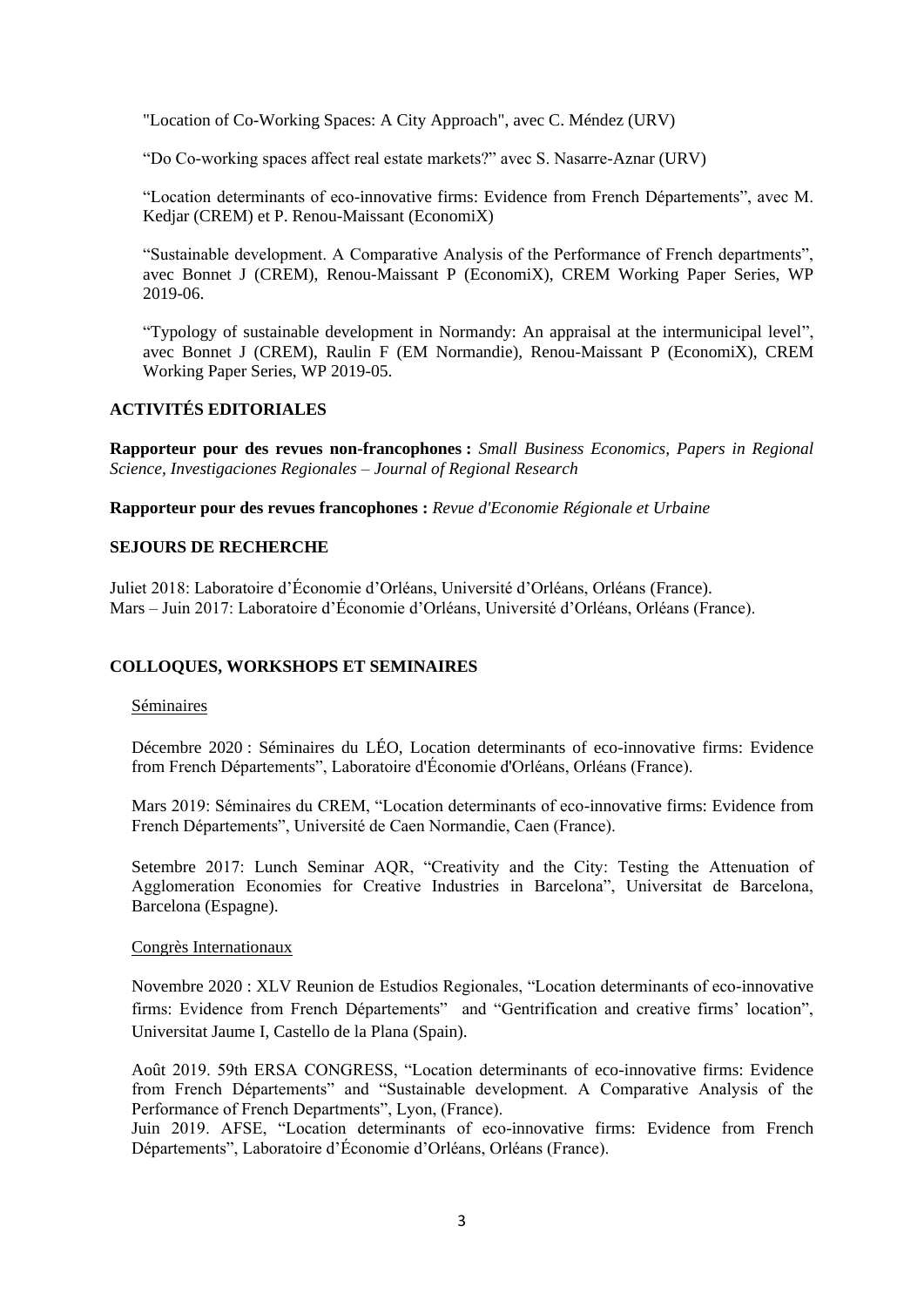"Location of Co-Working Spaces: A City Approach", avec C. Méndez (URV)

"Do Co-working spaces affect real estate markets?" avec S. Nasarre-Aznar (URV)

"Location determinants of eco-innovative firms: Evidence from French Départements", avec M. Kedjar (CREM) et P. Renou-Maissant (EconomiX)

"Sustainable development. A Comparative Analysis of the Performance of French departments", avec Bonnet J (CREM), Renou-Maissant P (EconomiX), CREM Working Paper Series, WP 2019-06.

"Typology of sustainable development in Normandy: An appraisal at the intermunicipal level", avec Bonnet J (CREM), Raulin F (EM Normandie), Renou-Maissant P (EconomiX), CREM Working Paper Series, WP 2019-05.

# **ACTIVITÉS EDITORIALES**

**Rapporteur pour des revues non-francophones :** *Small Business Economics, Papers in Regional Science, Investigaciones Regionales – Journal of Regional Research*

**Rapporteur pour des revues francophones :** *Revue d'Economie Régionale et Urbaine*

#### **SEJOURS DE RECHERCHE**

Juliet 2018: Laboratoire d'Économie d'Orléans, Université d'Orléans, Orléans (France). Mars – Juin 2017: Laboratoire d'Économie d'Orléans, Université d'Orléans, Orléans (France).

#### **COLLOQUES, WORKSHOPS ET SEMINAIRES**

#### Séminaires

Décembre 2020 : Séminaires du LÉO, Location determinants of eco-innovative firms: Evidence from French Départements", Laboratoire d'Économie d'Orléans, Orléans (France).

Mars 2019: Séminaires du CREM, "Location determinants of eco-innovative firms: Evidence from French Départements", Université de Caen Normandie, Caen (France).

Setembre 2017: Lunch Seminar AQR, "Creativity and the City: Testing the Attenuation of Agglomeration Economies for Creative Industries in Barcelona", Universitat de Barcelona, Barcelona (Espagne).

#### Congrès Internationaux

Novembre 2020 : XLV Reunion de Estudios Regionales, "Location determinants of eco-innovative firms: Evidence from French Départements" and "Gentrification and creative firms' location", Universitat Jaume I, Castello de la Plana (Spain).

Août 2019. 59th ERSA CONGRESS, "Location determinants of eco-innovative firms: Evidence from French Départements" and "Sustainable development. A Comparative Analysis of the Performance of French Departments", Lyon, (France).

Juin 2019. AFSE, "Location determinants of eco-innovative firms: Evidence from French Départements", Laboratoire d'Économie d'Orléans, Orléans (France).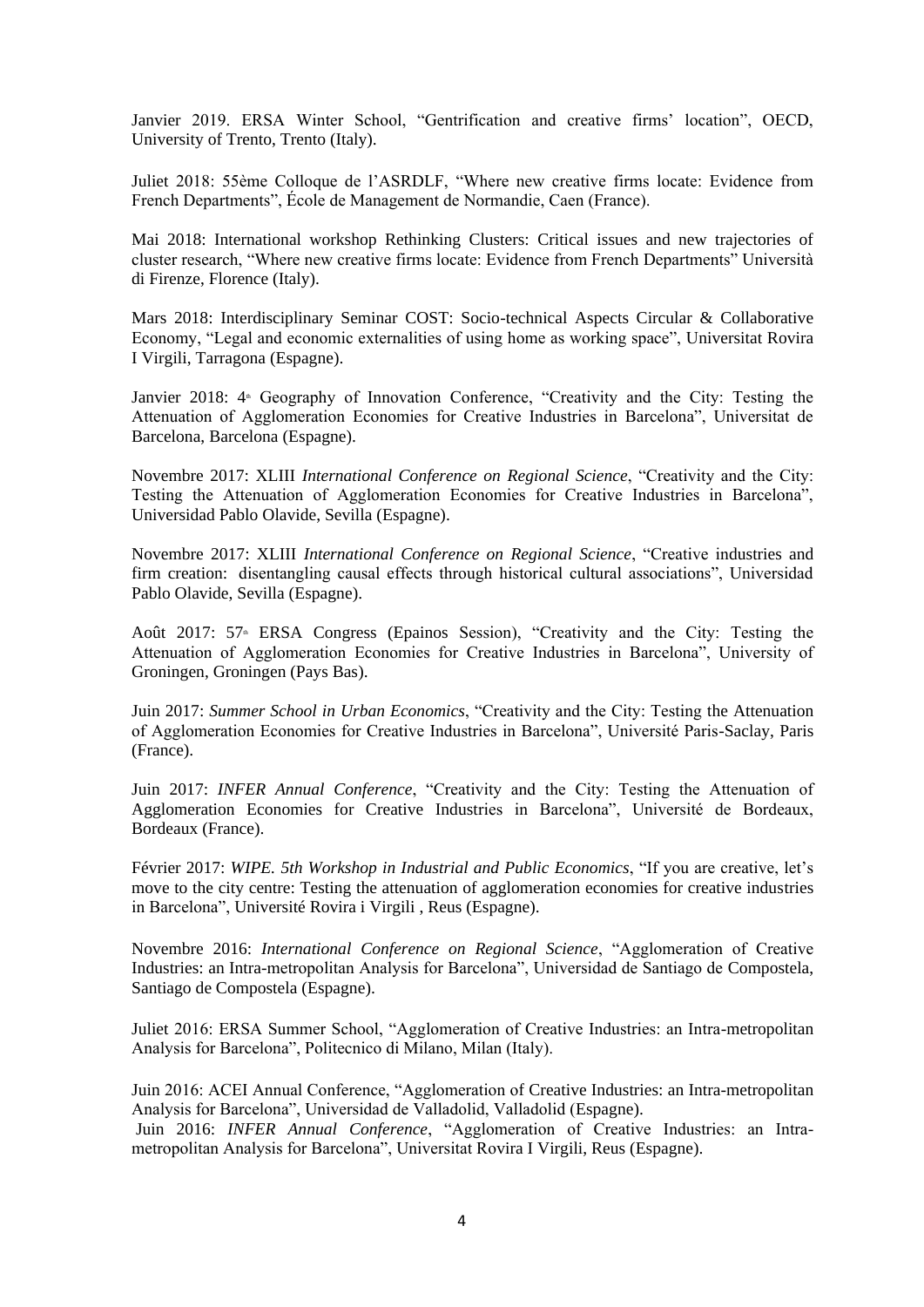Janvier 2019. ERSA Winter School, "Gentrification and creative firms' location", OECD, University of Trento, Trento (Italy).

Juliet 2018: 55ème Colloque de l'ASRDLF, "Where new creative firms locate: Evidence from French Departments", École de Management de Normandie, Caen (France).

Mai 2018: International workshop Rethinking Clusters: Critical issues and new trajectories of cluster research, "Where new creative firms locate: Evidence from French Departments" Università di Firenze, Florence (Italy).

Mars 2018: Interdisciplinary Seminar COST: Socio-technical Aspects Circular & Collaborative Economy, "Legal and economic externalities of using home as working space", Universitat Rovira I Virgili, Tarragona (Espagne).

Janvier 2018: 4<sup>th</sup> Geography of Innovation Conference, "Creativity and the City: Testing the Attenuation of Agglomeration Economies for Creative Industries in Barcelona", Universitat de Barcelona, Barcelona (Espagne).

Novembre 2017: XLIII *International Conference on Regional Science*, "Creativity and the City: Testing the Attenuation of Agglomeration Economies for Creative Industries in Barcelona", Universidad Pablo Olavide, Sevilla (Espagne).

Novembre 2017: XLIII *International Conference on Regional Science*, "Creative industries and firm creation: disentangling causal effects through historical cultural associations", Universidad Pablo Olavide, Sevilla (Espagne).

Août 2017: 57<sup>th</sup> ERSA Congress (Epainos Session), "Creativity and the City: Testing the Attenuation of Agglomeration Economies for Creative Industries in Barcelona", University of Groningen, Groningen (Pays Bas).

Juin 2017: *Summer School in Urban Economics*, "Creativity and the City: Testing the Attenuation of Agglomeration Economies for Creative Industries in Barcelona", Université Paris-Saclay, Paris (France).

Juin 2017: *INFER Annual Conference*, "Creativity and the City: Testing the Attenuation of Agglomeration Economies for Creative Industries in Barcelona", Université de Bordeaux, Bordeaux (France).

Février 2017: *WIPE. 5th Workshop in Industrial and Public Economics*, "If you are creative, let's move to the city centre: Testing the attenuation of agglomeration economies for creative industries in Barcelona", Université Rovira i Virgili , Reus (Espagne).

Novembre 2016: *International Conference on Regional Science*, "Agglomeration of Creative Industries: an Intra-metropolitan Analysis for Barcelona", Universidad de Santiago de Compostela, Santiago de Compostela (Espagne).

Juliet 2016: ERSA Summer School, "Agglomeration of Creative Industries: an Intra-metropolitan Analysis for Barcelona", Politecnico di Milano, Milan (Italy).

Juin 2016: ACEI Annual Conference, "Agglomeration of Creative Industries: an Intra-metropolitan Analysis for Barcelona", Universidad de Valladolid, Valladolid (Espagne).

Juin 2016: *INFER Annual Conference*, "Agglomeration of Creative Industries: an Intrametropolitan Analysis for Barcelona", Universitat Rovira I Virgili, Reus (Espagne).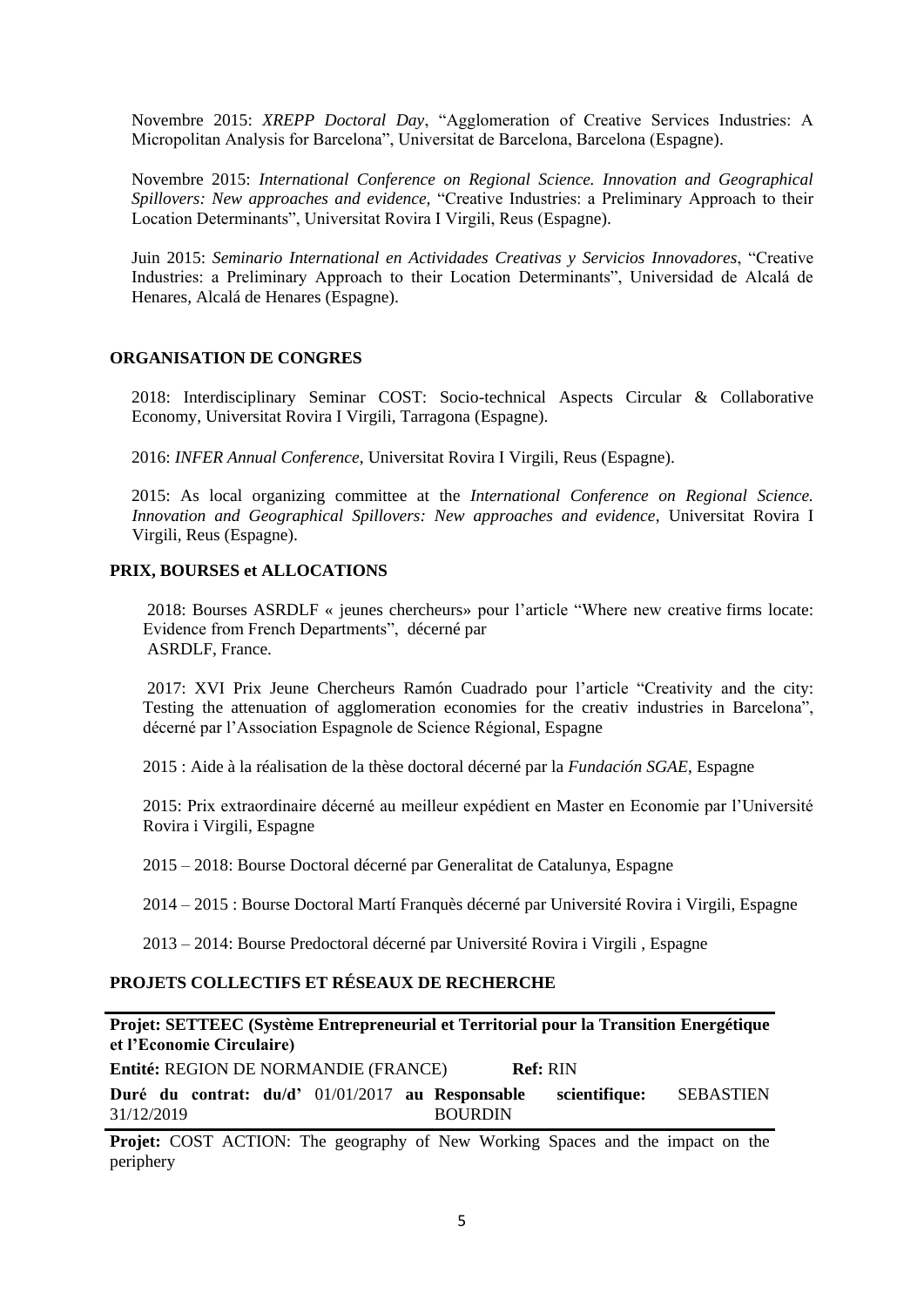Novembre 2015: *XREPP Doctoral Day*, "Agglomeration of Creative Services Industries: A Micropolitan Analysis for Barcelona", Universitat de Barcelona, Barcelona (Espagne).

Novembre 2015: *International Conference on Regional Science. Innovation and Geographical Spillovers: New approaches and evidence,* "Creative Industries: a Preliminary Approach to their Location Determinants", Universitat Rovira I Virgili, Reus (Espagne).

Juin 2015: *Seminario International en Actividades Creativas y Servicios Innovadores*, "Creative Industries: a Preliminary Approach to their Location Determinants", Universidad de Alcalá de Henares, Alcalá de Henares (Espagne).

#### **ORGANISATION DE CONGRES**

2018: Interdisciplinary Seminar COST: Socio-technical Aspects Circular & Collaborative Economy, Universitat Rovira I Virgili, Tarragona (Espagne).

2016: *INFER Annual Conference*, Universitat Rovira I Virgili, Reus (Espagne).

2015: As local organizing committee at the *International Conference on Regional Science. Innovation and Geographical Spillovers: New approaches and evidence*, Universitat Rovira I Virgili, Reus (Espagne).

# **PRIX, BOURSES et ALLOCATIONS**

2018: Bourses ASRDLF « jeunes chercheurs» pour l'article "Where new creative firms locate: Evidence from French Departments", décerné par ASRDLF, France.

2017: XVI Prix Jeune Chercheurs Ramón Cuadrado pour l'article "Creativity and the city: Testing the attenuation of agglomeration economies for the creativ industries in Barcelona", décerné par l'Association Espagnole de Science Régional, Espagne

2015 : Aide à la réalisation de la thèse doctoral décerné par la *Fundación SGAE*, Espagne

2015: Prix extraordinaire décerné au meilleur expédient en Master en Economie par l'Université Rovira i Virgili, Espagne

2015 – 2018: Bourse Doctoral décerné par Generalitat de Catalunya, Espagne

2014 – 2015 : Bourse Doctoral Martí Franquès décerné par Université Rovira i Virgili, Espagne

2013 – 2014: Bourse Predoctoral décerné par Université Rovira i Virgili , Espagne

# **PROJETS COLLECTIFS ET RÉSEAUX DE RECHERCHE**

# **Projet: SETTEEC (Système Entrepreneurial et Territorial pour la Transition Energétique et l'Economie Circulaire)**

**Entité:** REGION DE NORMANDIE (FRANCE) **Ref:** RIN **Duré du contrat: du/d'** 01/01/2017 **au Responsable scientifique:** SEBASTIEN 31/12/2019 BOURDIN

**Projet:** COST ACTION: The geography of New Working Spaces and the impact on the periphery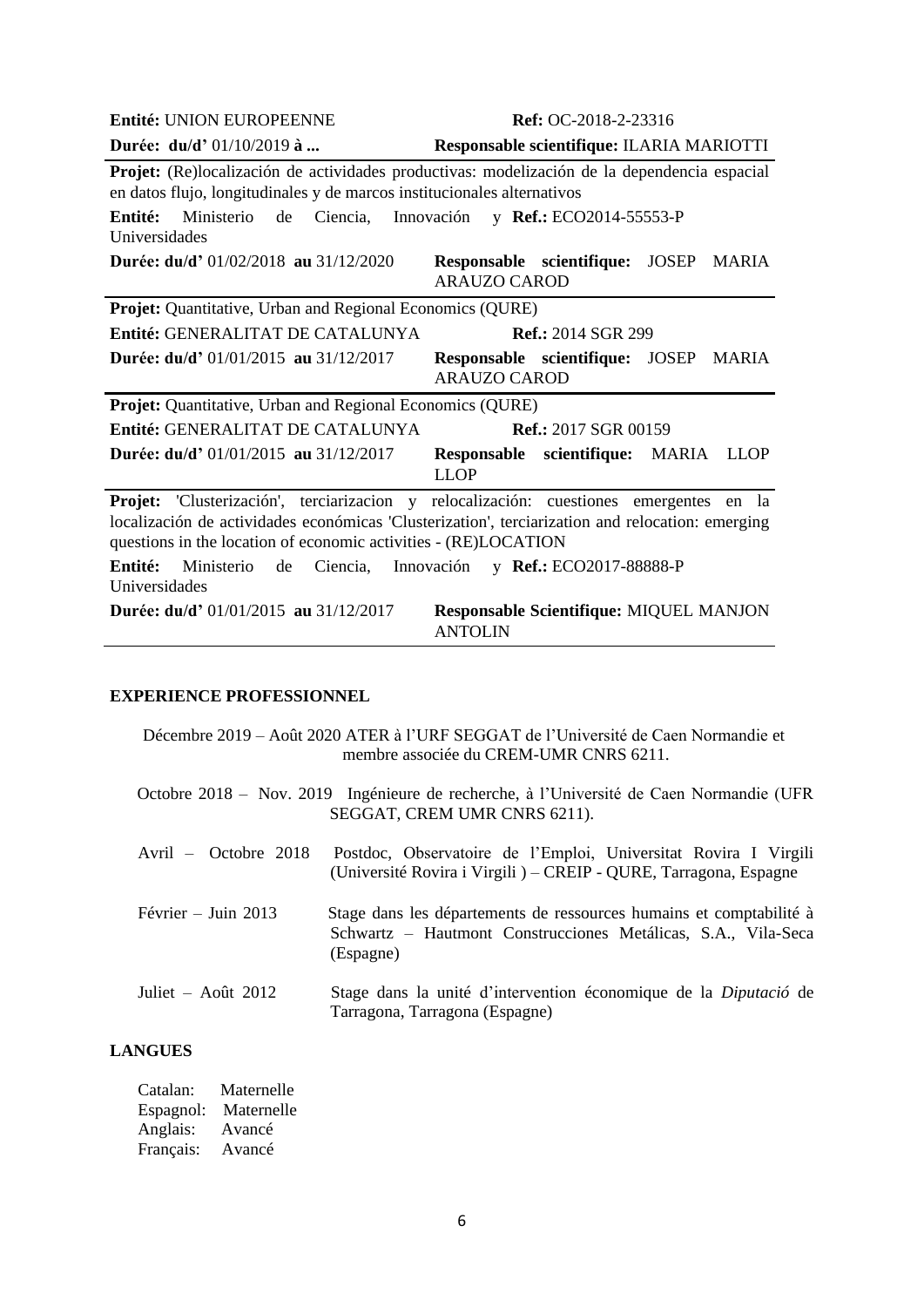| Entité: UNION EUROPEENNE                                                                                                                                                                                                                                          | <b>Ref: OC-2018-2-23316</b>                                            |  |  |  |
|-------------------------------------------------------------------------------------------------------------------------------------------------------------------------------------------------------------------------------------------------------------------|------------------------------------------------------------------------|--|--|--|
| Durée: $du/d'$ 01/10/2019 à                                                                                                                                                                                                                                       | Responsable scientifique: ILARIA MARIOTTI                              |  |  |  |
| Projet: (Re)localización de actividades productivas: modelización de la dependencia espacial<br>en datos flujo, longitudinales y de marcos institucionales alternativos<br>Entité:<br>Ministerio<br>Innovación y $\text{Ref.}: ECO2014-55553-P$<br>de<br>Ciencia, |                                                                        |  |  |  |
| Universidades<br>Durée: du/d' 01/02/2018 au 31/12/2020                                                                                                                                                                                                            | Responsable scientifique:<br><b>JOSEP MARIA</b><br><b>ARAUZO CAROD</b> |  |  |  |
| <b>Projet:</b> Quantitative, Urban and Regional Economics (QURE)                                                                                                                                                                                                  |                                                                        |  |  |  |
| Entité: GENERALITAT DE CATALUNYA                                                                                                                                                                                                                                  | <b>Ref.:</b> 2014 SGR 299                                              |  |  |  |
| Durée: du/d' 01/01/2015 au 31/12/2017                                                                                                                                                                                                                             | Responsable scientifique: JOSEP MARIA<br><b>ARAUZO CAROD</b>           |  |  |  |
| <b>Projet:</b> Quantitative, Urban and Regional Economics (QURE)                                                                                                                                                                                                  |                                                                        |  |  |  |
| Entité: GENERALITAT DE CATALUNYA                                                                                                                                                                                                                                  | <b>Ref.:</b> 2017 SGR 00159                                            |  |  |  |
| Durée: du/d' 01/01/2015 au 31/12/2017                                                                                                                                                                                                                             | Responsable scientifique: MARIA<br><b>LLOP</b><br><b>LLOP</b>          |  |  |  |
| Projet: 'Clusterización', terciarizacion y relocalización: cuestiones emergentes en la<br>localización de actividades económicas 'Clusterization', terciarization and relocation: emerging<br>questions in the location of economic activities - (RE)LOCATION     |                                                                        |  |  |  |
| Entité:<br>de<br>Ciencia,<br>Ministerio<br>Universidades                                                                                                                                                                                                          | Innovación<br>y Ref.: ECO2017-88888-P                                  |  |  |  |
| <b>Durée: du/d'</b> 01/01/2015 au 31/12/2017<br>Responsable Scientifique: MIQUEL MANJON<br><b>ANTOLIN</b>                                                                                                                                                         |                                                                        |  |  |  |

#### **EXPERIENCE PROFESSIONNEL**

Décembre 2019 – Août 2020 ATER à l'URF SEGGAT de l'Université de Caen Normandie et membre associée du CREM-UMR CNRS 6211. Octobre 2018 – Nov. 2019 Ingénieure de recherche, à l'Université de Caen Normandie (UFR SEGGAT, CREM UMR CNRS 6211). Avril – Octobre 2018 Postdoc, Observatoire de l'Emploi, Universitat Rovira I Virgili (Université Rovira i Virgili ) – CREIP - QURE, Tarragona, Espagne Février – Juin 2013 Stage dans les départements de ressources humains et comptabilité à Schwartz – Hautmont Construcciones Metálicas, S.A., Vila-Seca (Espagne)

Juliet – Août 2012 Stage dans la unité d'intervention économique de la *Diputació* de Tarragona, Tarragona (Espagne)

# **LANGUES**

| Catalan:  | Maternelle |
|-----------|------------|
| Espagnol: | Maternelle |
| Anglais:  | Avancé     |
| Français: | Avancé     |